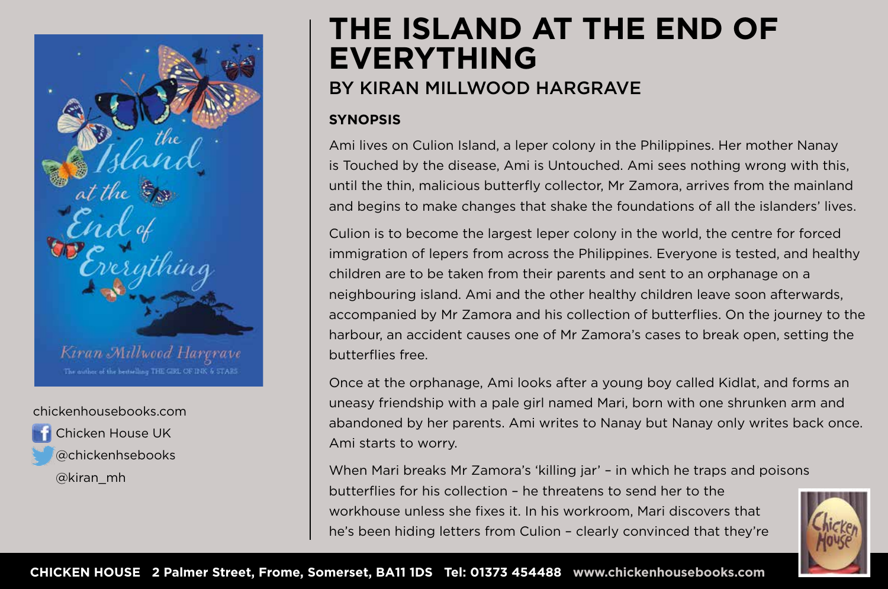

#### chickenhousebooks.com

 Chicken House UK @chickenhsebooks @kiran\_mh

# **THE ISLAND AT THE END OF EVERYTHING** BY KIRAN MILLWOOD HARGRAVE

### **SYNOPSIS**

Ami lives on Culion Island, a leper colony in the Philippines. Her mother Nanay is Touched by the disease, Ami is Untouched. Ami sees nothing wrong with this, until the thin, malicious butterfly collector, Mr Zamora, arrives from the mainland and begins to make changes that shake the foundations of all the islanders' lives.

Culion is to become the largest leper colony in the world, the centre for forced immigration of lepers from across the Philippines. Everyone is tested, and healthy children are to be taken from their parents and sent to an orphanage on a neighbouring island. Ami and the other healthy children leave soon afterwards, accompanied by Mr Zamora and his collection of butterflies. On the journey to the harbour, an accident causes one of Mr Zamora's cases to break open, setting the butterflies free.

Once at the orphanage, Ami looks after a young boy called Kidlat, and forms an uneasy friendship with a pale girl named Mari, born with one shrunken arm and abandoned by her parents. Ami writes to Nanay but Nanay only writes back once. Ami starts to worry.

When Mari breaks Mr Zamora's 'killing jar' – in which he traps and poisons butterflies for his collection – he threatens to send her to the workhouse unless she fixes it. In his workroom, Mari discovers that he's been hiding letters from Culion – clearly convinced that they're

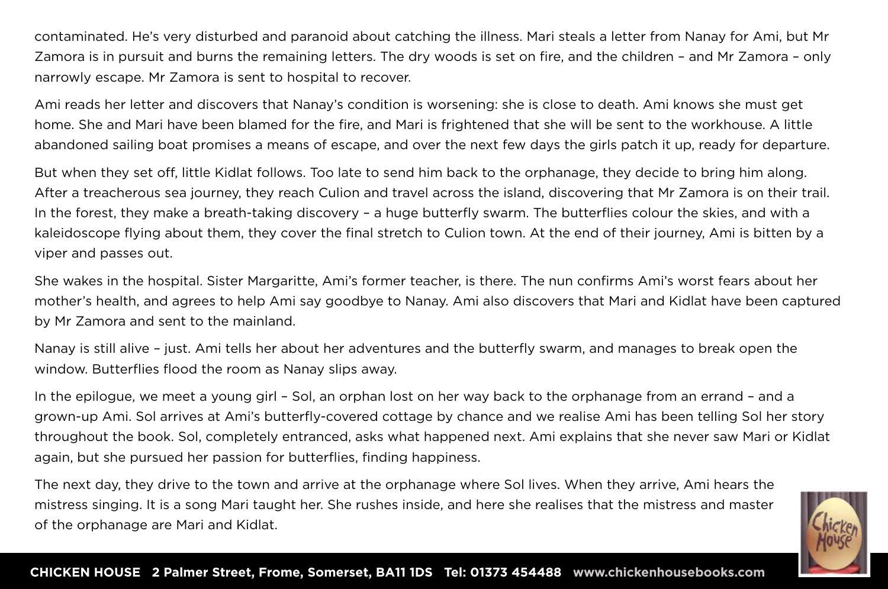contaminated. He's very disturbed and paranoid about catching the illness. Mari steals a letter from Nanay for Ami, but Mr Zamora is in pursuit and burns the remaining letters. The dry woods is set on fire, and the children – and Mr Zamora – only narrowly escape. Mr Zamora is sent to hospital to recover.

Ami reads her letter and discovers that Nanay's condition is worsening: she is close to death. Ami knows she must get home. She and Mari have been blamed for the fire, and Mari is frightened that she will be sent to the workhouse. A little abandoned sailing boat promises a means of escape, and over the next few days the girls patch it up, ready for departure.

But when they set off, little Kidlat follows. Too late to send him back to the orphanage, they decide to bring him along. After a treacherous sea journey, they reach Culion and travel across the island, discovering that Mr Zamora is on their trail. In the forest, they make a breath-taking discovery – a huge butterfly swarm. The butterflies colour the skies, and with a kaleidoscope flying about them, they cover the final stretch to Culion town. At the end of their journey, Ami is bitten by a viper and passes out.

She wakes in the hospital. Sister Margaritte, Ami's former teacher, is there. The nun confirms Ami's worst fears about her mother's health, and agrees to help Ami say goodbye to Nanay. Ami also discovers that Mari and Kidlat have been captured by Mr Zamora and sent to the mainland.

Nanay is still alive – just. Ami tells her about her adventures and the butterfly swarm, and manages to break open the window. Butterflies flood the room as Nanay slips away.

In the epilogue, we meet a young girl – Sol, an orphan lost on her way back to the orphanage from an errand – and a grown-up Ami. Sol arrives at Ami's butterfly-covered cottage by chance and we realise Ami has been telling Sol her story throughout the book. Sol, completely entranced, asks what happened next. Ami explains that she never saw Mari or Kidlat again, but she pursued her passion for butterflies, finding happiness.

The next day, they drive to the town and arrive at the orphanage where Sol lives. When they arrive, Ami hears the mistress singing. It is a song Mari taught her. She rushes inside, and here she realises that the mistress and master of the orphanage are Mari and Kidlat.

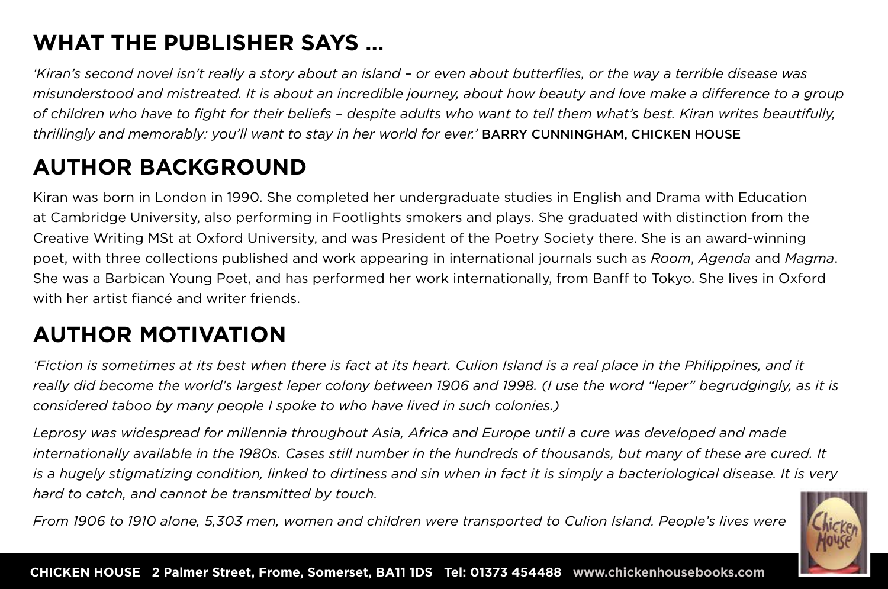### **WHAT THE PUBLISHER SAYS …**

*'Kiran's second novel isn't really a story about an island – or even about butterflies, or the way a terrible disease was misunderstood and mistreated. It is about an incredible journey, about how beauty and love make a difference to a group of children who have to fight for their beliefs – despite adults who want to tell them what's best. Kiran writes beautifully, thrillingly and memorably: you'll want to stay in her world for ever.'* BARRY CUNNINGHAM, CHICKEN HOUSE

## **AUTHOR BACKGROUND**

Kiran was born in London in 1990. She completed her undergraduate studies in English and Drama with Education at Cambridge University, also performing in Footlights smokers and plays. She graduated with distinction from the Creative Writing MSt at Oxford University, and was President of the Poetry Society there. She is an award-winning poet, with three collections published and work appearing in international journals such as *Room*, *Agenda* and *Magma*. She was a Barbican Young Poet, and has performed her work internationally, from Banff to Tokyo. She lives in Oxford with her artist fiancé and writer friends.

## **AUTHOR MOTIVATION**

*'Fiction is sometimes at its best when there is fact at its heart. Culion Island is a real place in the Philippines, and it really did become the world's largest leper colony between 1906 and 1998. (I use the word "leper" begrudgingly, as it is considered taboo by many people I spoke to who have lived in such colonies.)* 

*Leprosy was widespread for millennia throughout Asia, Africa and Europe until a cure was developed and made internationally available in the 1980s. Cases still number in the hundreds of thousands, but many of these are cured. It is a hugely stigmatizing condition, linked to dirtiness and sin when in fact it is simply a bacteriological disease. It is very hard to catch, and cannot be transmitted by touch.*

*From 1906 to 1910 alone, 5,303 men, women and children were transported to Culion Island. People's lives were* 

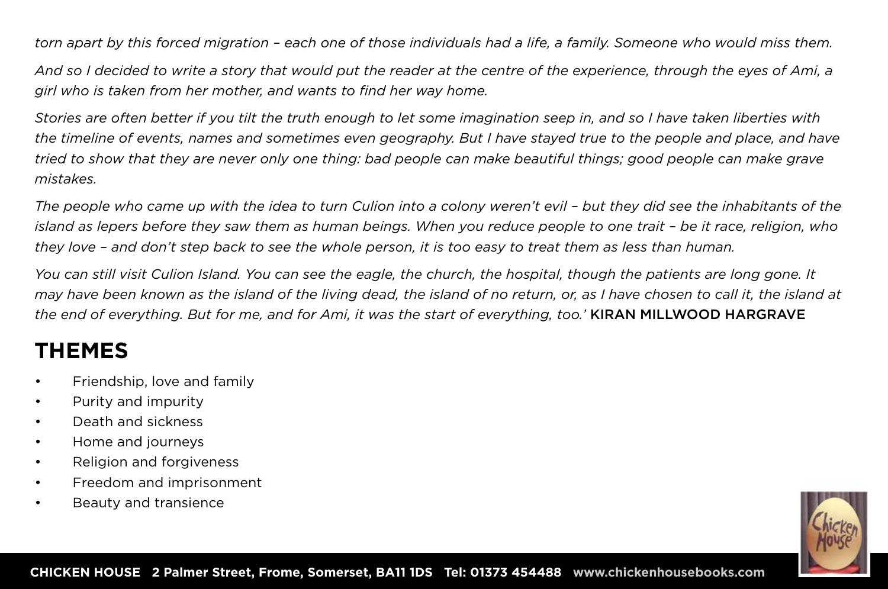*torn apart by this forced migration – each one of those individuals had a life, a family. Someone who would miss them.* 

*And so I decided to write a story that would put the reader at the centre of the experience, through the eyes of Ami, a girl who is taken from her mother, and wants to find her way home.*

*Stories are often better if you tilt the truth enough to let some imagination seep in, and so I have taken liberties with the timeline of events, names and sometimes even geography. But I have stayed true to the people and place, and have tried to show that they are never only one thing: bad people can make beautiful things; good people can make grave mistakes.*

The people who came up with the idea to turn Culion into a colony weren't evil - but they did see the inhabitants of the *island as lepers before they saw them as human beings. When you reduce people to one trait – be it race, religion, who they love – and don't step back to see the whole person, it is too easy to treat them as less than human.*

*You can still visit Culion Island. You can see the eagle, the church, the hospital, though the patients are long gone. It may have been known as the island of the living dead, the island of no return, or, as I have chosen to call it, the island at the end of everything. But for me, and for Ami, it was the start of everything, too.'* KIRAN MILLWOOD HARGRAVE

### **THEMES**

- Friendship, love and family
- Purity and impurity
- Death and sickness
- Home and journeys
- Religion and forgiveness
- Freedom and imprisonment
- Beauty and transience

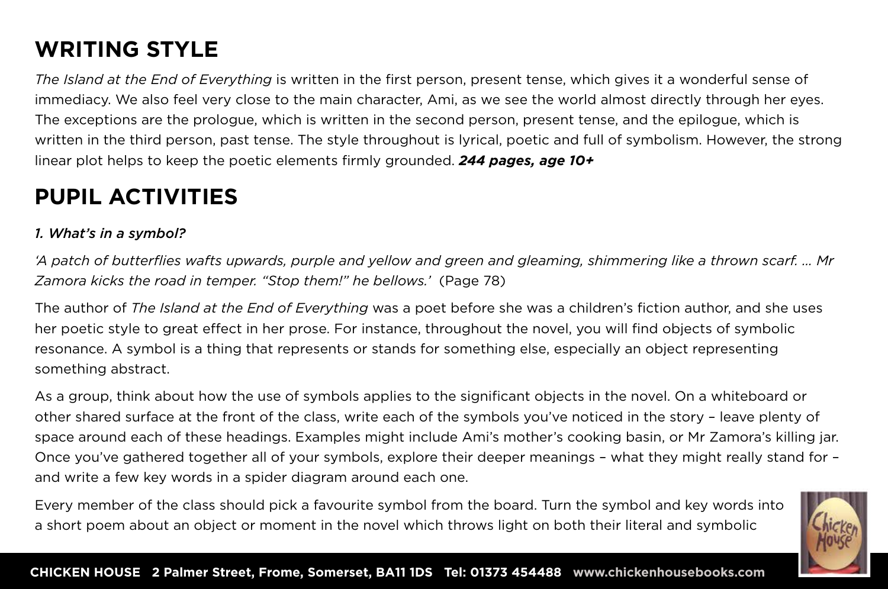## **WRITING STYLE**

*The Island at the End of Everything* is written in the first person, present tense, which gives it a wonderful sense of immediacy. We also feel very close to the main character, Ami, as we see the world almost directly through her eyes. The exceptions are the prologue, which is written in the second person, present tense, and the epilogue, which is written in the third person, past tense. The style throughout is lyrical, poetic and full of symbolism. However, the strong linear plot helps to keep the poetic elements firmly grounded. *244 pages, age 10+*

### **PUPIL ACTIVITIES**

#### *1. What's in a symbol?*

*'A patch of butterflies wafts upwards, purple and yellow and green and gleaming, shimmering like a thrown scarf. … Mr Zamora kicks the road in temper. "Stop them!" he bellows.'* (Page 78)

The author of *The Island at the End of Everything* was a poet before she was a children's fiction author, and she uses her poetic style to great effect in her prose. For instance, throughout the novel, you will find objects of symbolic resonance. A symbol is a thing that represents or stands for something else, especially an object representing something abstract.

As a group, think about how the use of symbols applies to the significant objects in the novel. On a whiteboard or other shared surface at the front of the class, write each of the symbols you've noticed in the story – leave plenty of space around each of these headings. Examples might include Ami's mother's cooking basin, or Mr Zamora's killing jar. Once you've gathered together all of your symbols, explore their deeper meanings – what they might really stand for – and write a few key words in a spider diagram around each one.

Every member of the class should pick a favourite symbol from the board. Turn the symbol and key words into a short poem about an object or moment in the novel which throws light on both their literal and symbolic

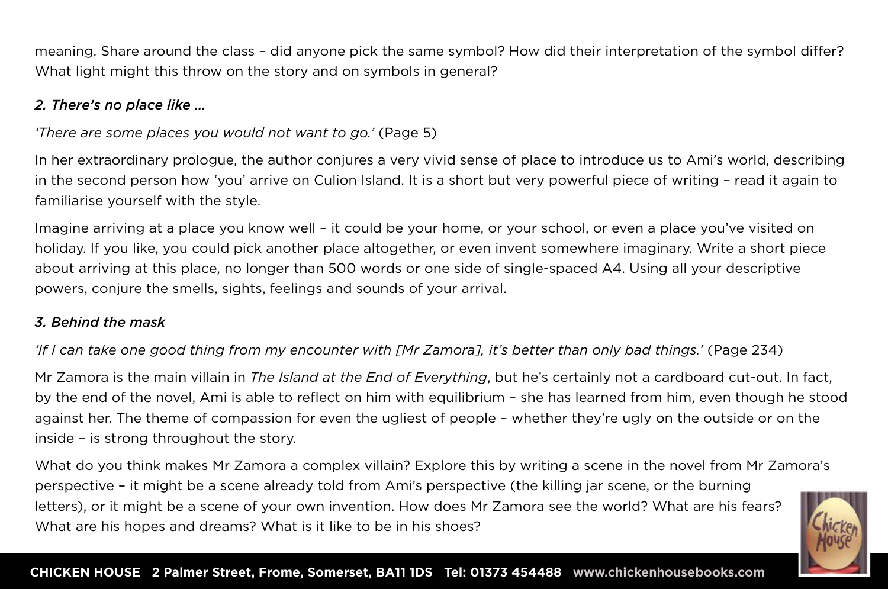meaning. Share around the class – did anyone pick the same symbol? How did their interpretation of the symbol differ? What light might this throw on the story and on symbols in general?

#### *2. There's no place like …*

### *'There are some places you would not want to go.'* (Page 5)

In her extraordinary prologue, the author conjures a very vivid sense of place to introduce us to Ami's world, describing in the second person how 'you' arrive on Culion Island. It is a short but very powerful piece of writing – read it again to familiarise yourself with the style.

Imagine arriving at a place you know well – it could be your home, or your school, or even a place you've visited on holiday. If you like, you could pick another place altogether, or even invent somewhere imaginary. Write a short piece about arriving at this place, no longer than 500 words or one side of single-spaced A4. Using all your descriptive powers, conjure the smells, sights, feelings and sounds of your arrival.

#### *3. Behind the mask*

### *'If I can take one good thing from my encounter with [Mr Zamora], it's better than only bad things.'* (Page 234)

Mr Zamora is the main villain in *The Island at the End of Everything*, but he's certainly not a cardboard cut-out. In fact, by the end of the novel, Ami is able to reflect on him with equilibrium – she has learned from him, even though he stood against her. The theme of compassion for even the ugliest of people – whether they're ugly on the outside or on the inside – is strong throughout the story.

What do you think makes Mr Zamora a complex villain? Explore this by writing a scene in the novel from Mr Zamora's perspective – it might be a scene already told from Ami's perspective (the killing jar scene, or the burning letters), or it might be a scene of your own invention. How does Mr Zamora see the world? What are his fears? What are his hopes and dreams? What is it like to be in his shoes?

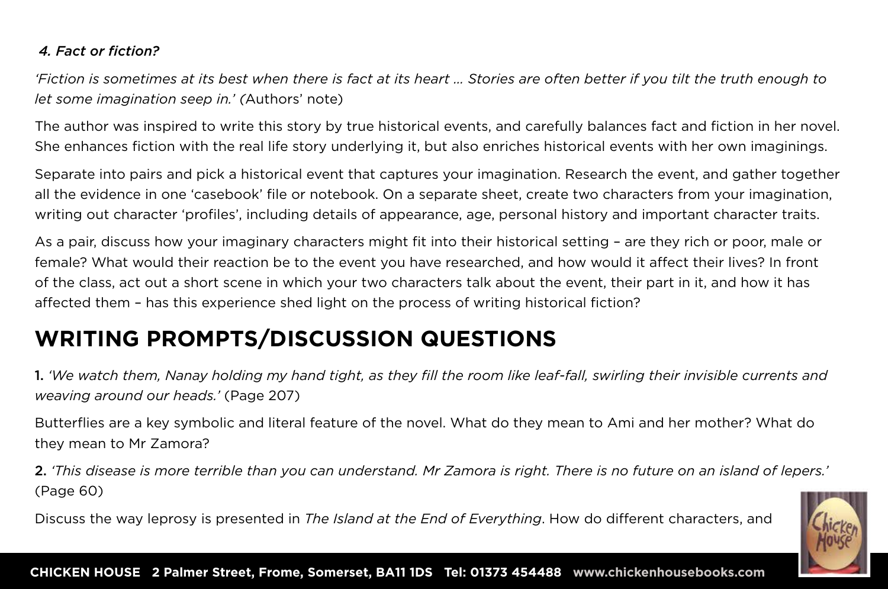#### *4. Fact or fiction?*

*'Fiction is sometimes at its best when there is fact at its heart … Stories are often better if you tilt the truth enough to let some imagination seep in.' (*Authors' note)

The author was inspired to write this story by true historical events, and carefully balances fact and fiction in her novel. She enhances fiction with the real life story underlying it, but also enriches historical events with her own imaginings.

Separate into pairs and pick a historical event that captures your imagination. Research the event, and gather together all the evidence in one 'casebook' file or notebook. On a separate sheet, create two characters from your imagination, writing out character 'profiles', including details of appearance, age, personal history and important character traits.

As a pair, discuss how your imaginary characters might fit into their historical setting – are they rich or poor, male or female? What would their reaction be to the event you have researched, and how would it affect their lives? In front of the class, act out a short scene in which your two characters talk about the event, their part in it, and how it has affected them – has this experience shed light on the process of writing historical fiction?

### **WRITING PROMPTS/DISCUSSION QUESTIONS**

1. *'We watch them, Nanay holding my hand tight, as they fill the room like leaf-fall, swirling their invisible currents and weaving around our heads.'* (Page 207)

Butterflies are a key symbolic and literal feature of the novel. What do they mean to Ami and her mother? What do they mean to Mr Zamora?

2. *'This disease is more terrible than you can understand. Mr Zamora is right. There is no future on an island of lepers.'*  (Page 60)

Discuss the way leprosy is presented in *The Island at the End of Everything*. How do different characters, and